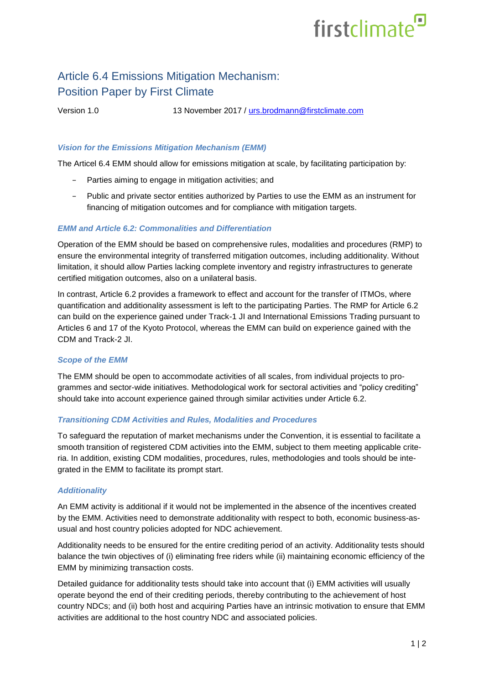# firstclimate<sup>9</sup>

# Article 6.4 Emissions Mitigation Mechanism: Position Paper by First Climate

Version 1.0 13 November 2017 / [urs.brodmann@firstclimate.com](mailto:urs.brodmann@firstclimate.com)

## *Vision for the Emissions Mitigation Mechanism (EMM)*

The Articel 6.4 EMM should allow for emissions mitigation at scale, by facilitating participation by:

- − Parties aiming to engage in mitigation activities; and
- − Public and private sector entities authorized by Parties to use the EMM as an instrument for financing of mitigation outcomes and for compliance with mitigation targets.

### *EMM and Article 6.2: Commonalities and Differentiation*

Operation of the EMM should be based on comprehensive rules, modalities and procedures (RMP) to ensure the environmental integrity of transferred mitigation outcomes, including additionality. Without limitation, it should allow Parties lacking complete inventory and registry infrastructures to generate certified mitigation outcomes, also on a unilateral basis.

In contrast, Article 6.2 provides a framework to effect and account for the transfer of ITMOs, where quantification and additionality assessment is left to the participating Parties. The RMP for Article 6.2 can build on the experience gained under Track-1 JI and International Emissions Trading pursuant to Articles 6 and 17 of the Kyoto Protocol, whereas the EMM can build on experience gained with the CDM and Track-2 JI.

#### *Scope of the EMM*

The EMM should be open to accommodate activities of all scales, from individual projects to programmes and sector-wide initiatives. Methodological work for sectoral activities and "policy crediting" should take into account experience gained through similar activities under Article 6.2.

#### *Transitioning CDM Activities and Rules, Modalities and Procedures*

To safeguard the reputation of market mechanisms under the Convention, it is essential to facilitate a smooth transition of registered CDM activities into the EMM, subject to them meeting applicable criteria. In addition, existing CDM modalities, procedures, rules, methodologies and tools should be integrated in the EMM to facilitate its prompt start.

### *Additionality*

An EMM activity is additional if it would not be implemented in the absence of the incentives created by the EMM. Activities need to demonstrate additionality with respect to both, economic business-asusual and host country policies adopted for NDC achievement.

Additionality needs to be ensured for the entire crediting period of an activity. Additionality tests should balance the twin objectives of (i) eliminating free riders while (ii) maintaining economic efficiency of the EMM by minimizing transaction costs.

Detailed guidance for additionality tests should take into account that (i) EMM activities will usually operate beyond the end of their crediting periods, thereby contributing to the achievement of host country NDCs; and (ii) both host and acquiring Parties have an intrinsic motivation to ensure that EMM activities are additional to the host country NDC and associated policies.